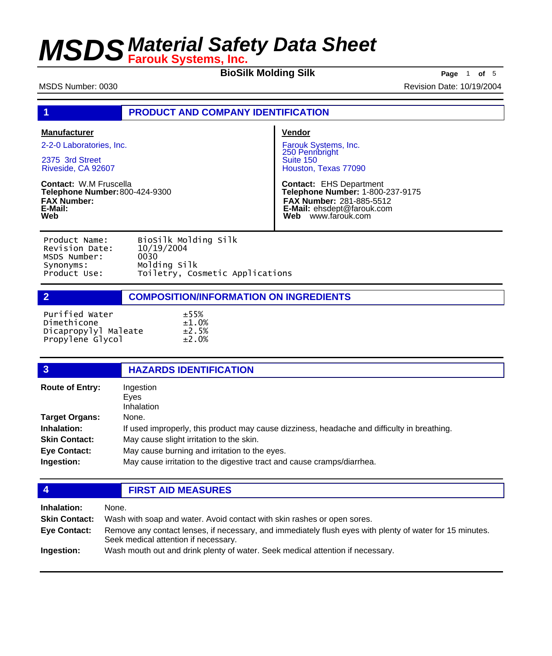**BioSilk Molding Silk Page** <sup>1</sup> **of** <sup>5</sup>

MSDS Number: 0030 Revision Date: 10/19/2004

| <b>PRODUCT AND COMPANY IDENTIFICATION</b> |  |
|-------------------------------------------|--|
|-------------------------------------------|--|

| <b>Manufacturer</b>                                                                                     | <b>Vendor</b>                                                                                                                                                |
|---------------------------------------------------------------------------------------------------------|--------------------------------------------------------------------------------------------------------------------------------------------------------------|
| 2-2-0 Laboratories, Inc.                                                                                | Farouk Systems, Inc.<br>250 Pennbright                                                                                                                       |
| 2375 3rd Street<br>Riveside, CA 92607                                                                   | Suite 150<br>Houston, Texas 77090                                                                                                                            |
| <b>Contact: W.M Fruscella</b><br>Telephone Number: 800-424-9300<br><b>FAX Number:</b><br>E-Mail:<br>Web | <b>Contact: EHS Department</b><br>Telephone Number: 1-800-237-9175<br><b>FAX Number: 281-885-5512</b><br>E-Mail: ehsdept@farouk.com<br>Web<br>www.farouk.com |

| Product Name:  | BioSilk Molding Silk            |
|----------------|---------------------------------|
| Revision Date: | 10/19/2004                      |
| MSDS Number:   | 0030                            |
| Synonyms:      | Molding Silk                    |
| Product Use:   | Toiletry, Cosmetic Applications |
|                |                                 |

**2 COMPOSITION/INFORMATION ON INGREDIENTS**

| Purified Water       | ±55%        |
|----------------------|-------------|
| Dimethicone          | ±1.0%       |
| Dicapropylyl Maleate | ±2.5%       |
| Propylene Glycol     | $\pm 2.0\%$ |

| $\overline{3}$         | <b>HAZARDS IDENTIFICATION</b>                                                               |
|------------------------|---------------------------------------------------------------------------------------------|
| <b>Route of Entry:</b> | Ingestion<br>Eyes<br>Inhalation                                                             |
| <b>Target Organs:</b>  | None.                                                                                       |
| Inhalation:            | If used improperly, this product may cause dizziness, headache and difficulty in breathing. |
| <b>Skin Contact:</b>   | May cause slight irritation to the skin.                                                    |
| <b>Eye Contact:</b>    | May cause burning and irritation to the eyes.                                               |
| Ingestion:             | May cause irritation to the digestive tract and cause cramps/diarrhea.                      |
|                        |                                                                                             |

| $\overline{4}$       | <b>FIRST AID MEASURES</b>                                                                                                                        |  |
|----------------------|--------------------------------------------------------------------------------------------------------------------------------------------------|--|
| Inhalation:          | None.                                                                                                                                            |  |
| <b>Skin Contact:</b> | Wash with soap and water. Avoid contact with skin rashes or open sores.                                                                          |  |
| <b>Eye Contact:</b>  | Remove any contact lenses, if necessary, and immediately flush eyes with plenty of water for 15 minutes.<br>Seek medical attention if necessary. |  |
| Ingestion:           | Wash mouth out and drink plenty of water. Seek medical attention if necessary.                                                                   |  |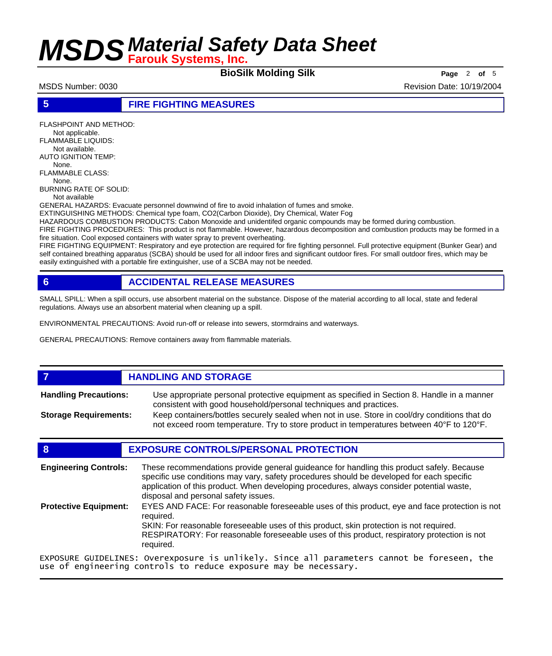**BioSilk Molding Silk Page** <sup>2</sup> **of** <sup>5</sup>

MSDS Number: 0030 **Revision Date: 10/19/2004** Revision Date: 10/19/2004

**5 FIRE FIGHTING MEASURES**

FLASHPOINT AND METHOD: Not applicable. FLAMMABLE LIQUIDS: Not available. AUTO IGNITION TEMP: None. FLAMMABLE CLASS:

 None. BURNING RATE OF SOLID: Not available

GENERAL HAZARDS: Evacuate personnel downwind of fire to avoid inhalation of fumes and smoke.

EXTINGUISHING METHODS: Chemical type foam, CO2(Carbon Dioxide), Dry Chemical, Water Fog

HAZARDOUS COMBUSTION PRODUCTS: Cabon Monoxide and unidentifed organic compounds may be formed during combustion.

FIRE FIGHTING PROCEDURES: This product is not flammable. However, hazardous decomposition and combustion products may be formed in a fire situation. Cool exposed containers with water spray to prevent overheating.

FIRE FIGHTING EQUIPMENT: Respiratory and eye protection are required for fire fighting personnel. Full protective equipment (Bunker Gear) and self contained breathing apparatus (SCBA) should be used for all indoor fires and significant outdoor fires. For small outdoor fires, which may be easily extinguished with a portable fire extinguisher, use of a SCBA may not be needed.

### **6 ACCIDENTAL RELEASE MEASURES**

SMALL SPILL: When a spill occurs, use absorbent material on the substance. Dispose of the material according to all local, state and federal regulations. Always use an absorbent material when cleaning up a spill.

ENVIRONMENTAL PRECAUTIONS: Avoid run-off or release into sewers, stormdrains and waterways.

GENERAL PRECAUTIONS: Remove containers away from flammable materials.

## *HANDLING AND STORAGE*

Use appropriate personal protective equipment as specified in Section 8. Handle in a manner consistent with good household/personal techniques and practices. **Handling Precautions:** Keep containers/bottles securely sealed when not in use. Store in cool/dry conditions that do **Storage Requirements:**

not exceed room temperature. Try to store product in temperatures between 40°F to 120°F.

## **8 EXPOSURE CONTROLS/PERSONAL PROTECTION**

These recommendations provide general guideance for handling this product safely. Because specific use conditions may vary, safety procedures should be developed for each specific application of this product. When developing procedures, always consider potential waste, disposal and personal safety issues. **Engineering Controls:** EYES AND FACE: For reasonable foreseeable uses of this product, eye and face protection is not required. SKIN: For reasonable foreseeable uses of this product, skin protection is not required. RESPIRATORY: For reasonable foreseeable uses of this product, respiratory protection is not required. **Protective Equipment:**

EXPOSURE GUIDELINES: Overexposure is unlikely. Since all parameters cannot be foreseen, the use of engineering controls to reduce exposure may be necessary.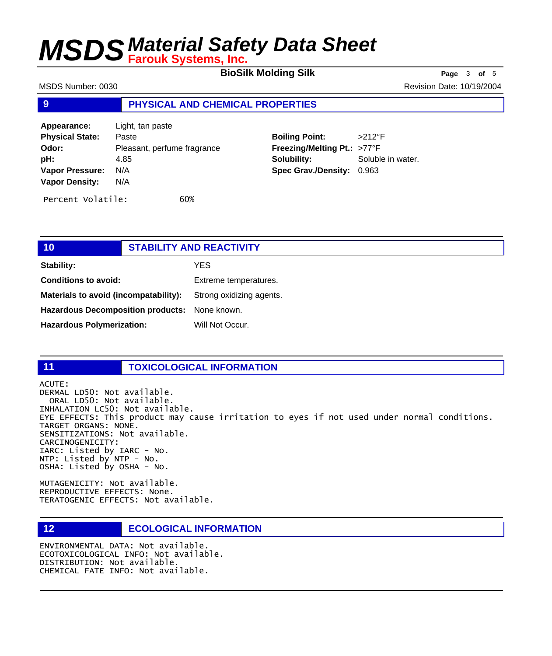**BioSilk Molding Silk Page** <sup>3</sup> **of** <sup>5</sup>

MSDS Number: 0030 **Revision Date: 10/19/2004** Revision Date: 10/19/2004

### **9 PHYSICAL AND CHEMICAL PROPERTIES**

| Appearance:            | Light, tan paste            |
|------------------------|-----------------------------|
| <b>Physical State:</b> | Paste                       |
| Odor:                  | Pleasant, perfume fragrance |
| pH:                    | 4.85                        |
| <b>Vapor Pressure:</b> | N/A                         |
| <b>Vapor Density:</b>  | N/A                         |
| Percent Volatile:      | 60%                         |

**Boiling Point:** >212°F **Freezing/Melting Pt.:** >77°F **Solubility:** Soluble in water. **Spec Grav./Density:** 0.963

| 10                                            | <b>STABILITY AND REACTIVITY</b> |                          |
|-----------------------------------------------|---------------------------------|--------------------------|
| Stability:                                    |                                 | YES.                     |
| <b>Conditions to avoid:</b>                   |                                 | Extreme temperatures.    |
| Materials to avoid (incompatability):         |                                 | Strong oxidizing agents. |
| Hazardous Decomposition products: None known. |                                 |                          |
| <b>Hazardous Polymerization:</b>              |                                 | Will Not Occur.          |
|                                               |                                 |                          |

### **11 TOXICOLOGICAL INFORMATION**

ACUTE: DERMAL LD50: Not available. ORAL LD50: Not available. INHALATION LC50: Not available. EYE EFFECTS: This product may cause irritation to eyes if not used under normal conditions. TARGET ORGANS: NONE. SENSITIZATIONS: Not available. CARCINOGENICITY: IARC: Listed by IARC - No. NTP: Listed by NTP - No. OSHA: Listed by OSHA - No.

MUTAGENICITY: Not available. REPRODUCTIVE EFFECTS: None. TERATOGENIC EFFECTS: Not available.

## **12 ECOLOGICAL INFORMATION**

ENVIRONMENTAL DATA: Not available. ECOTOXICOLOGICAL INFO: Not available. DISTRIBUTION: Not available. CHEMICAL FATE INFO: Not available.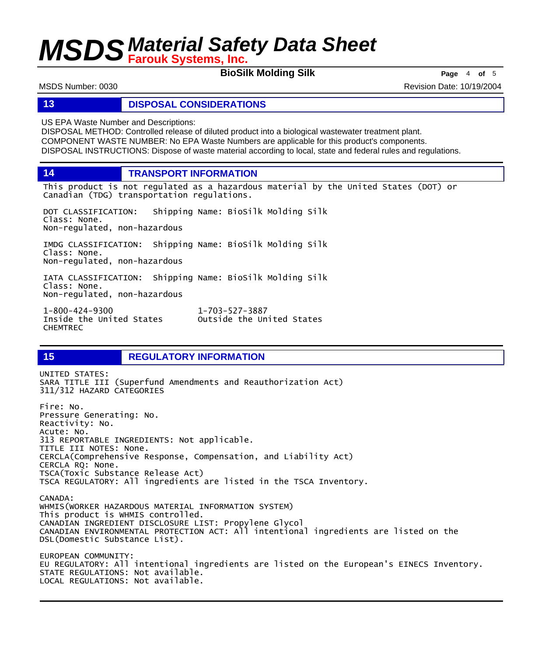**BioSilk Molding Silk Page** <sup>4</sup> **of** <sup>5</sup>

MSDS Number: 0030 **Revision Date: 10/19/2004** Revision Date: 10/19/2004

**13 DISPOSAL CONSIDERATIONS**

US EPA Waste Number and Descriptions:

DISPOSAL METHOD: Controlled release of diluted product into a biological wastewater treatment plant. COMPONENT WASTE NUMBER: No EPA Waste Numbers are applicable for this product's components. DISPOSAL INSTRUCTIONS: Dispose of waste material according to local, state and federal rules and regulations.

**14 TRANSPORT INFORMATION**

This product is not regulated as a hazardous material by the United States (DOT) or Canadian (TDG) transportation regulations.

DOT CLASSIFICATION: Shipping Name: BioSilk Molding Silk Class: None. Non-regulated, non-hazardous

IMDG CLASSIFICATION: Shipping Name: BioSilk Molding Silk Class: None. Non-regulated, non-hazardous

IATA CLASSIFICATION: Shipping Name: BioSilk Molding Silk Class: None. Non-regulated, non-hazardous

1-800-424-9300 1-703-527-3887 CHEMTREC

## **15 REGULATORY INFORMATION**

UNITED STATES: SARA TITLE III (Superfund Amendments and Reauthorization Act) 311/312 HAZARD CATEGORIES Fire: No. Pressure Generating: No. Reactivity: No. Acute: No. 313 REPORTABLE INGREDIENTS: Not applicable. TITLE III NOTES: None. CERCLA(Comprehensive Response, Compensation, and Liability Act) CERCLA RQ: None. TSCA(Toxic Substance Release Act) TSCA REGULATORY: All ingredients are listed in the TSCA Inventory. CANADA: WHMIS(WORKER HAZARDOUS MATERIAL INFORMATION SYSTEM) This product is WHMIS controlled. CANADIAN INGREDIENT DISCLOSURE LIST: Propylene Glycol CANADIAN ENVIRONMENTAL PROTECTION ACT: All intentional ingredients are listed on the DSL(Domestic Substance List). EUROPEAN COMMUNITY: EU REGULATORY: All intentional ingredients are listed on the European's EINECS Inventory. STATE REGULATIONS: Not available. LOCAL REGULATIONS: Not available.

Outside the United States